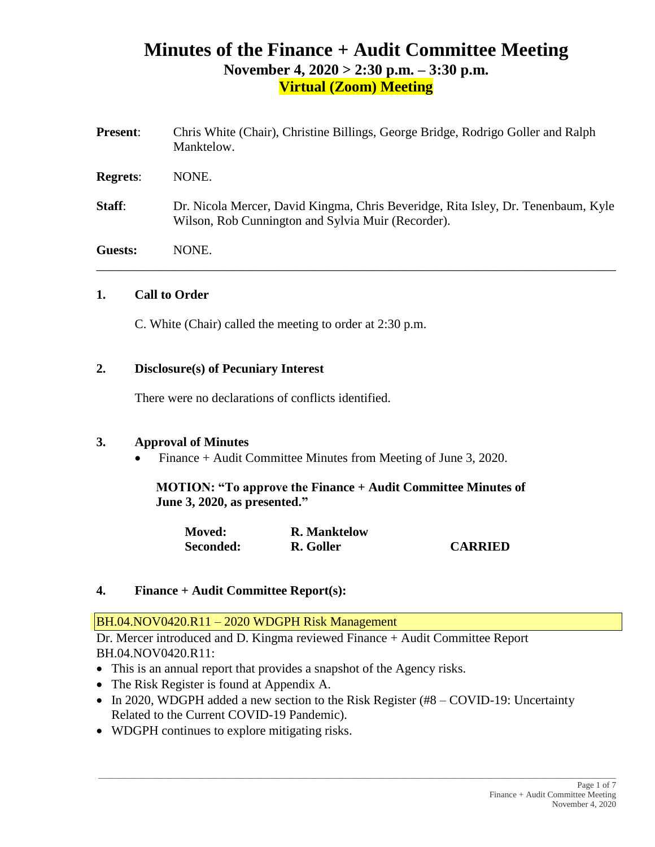# **Minutes of the Finance + Audit Committee Meeting November 4, 2020 > 2:30 p.m. – 3:30 p.m. Virtual (Zoom) Meeting**

| <b>Present:</b> | Chris White (Chair), Christine Billings, George Bridge, Rodrigo Goller and Ralph<br>Manktelow.                                          |
|-----------------|-----------------------------------------------------------------------------------------------------------------------------------------|
| <b>Regrets:</b> | NONE.                                                                                                                                   |
| Staff:          | Dr. Nicola Mercer, David Kingma, Chris Beveridge, Rita Isley, Dr. Tenenbaum, Kyle<br>Wilson, Rob Cunnington and Sylvia Muir (Recorder). |
| Guests:         | NONE.                                                                                                                                   |

## **1. Call to Order**

C. White (Chair) called the meeting to order at 2:30 p.m.

## **2. Disclosure(s) of Pecuniary Interest**

There were no declarations of conflicts identified.

### **3. Approval of Minutes**

• Finance + Audit Committee Minutes from Meeting of June 3, 2020.

**MOTION: "To approve the Finance + Audit Committee Minutes of June 3, 2020, as presented."**

| <b>Moved:</b> | <b>R.</b> Manktelow |                |
|---------------|---------------------|----------------|
| Seconded:     | R. Goller           | <b>CARRIED</b> |

### **4. Finance + Audit Committee Report(s):**

BH.04.NOV0420.R11 – 2020 WDGPH Risk Management

Dr. Mercer introduced and D. Kingma reviewed Finance + Audit Committee Report BH.04.NOV0420.R11:

- This is an annual report that provides a snapshot of the Agency risks.
- The Risk Register is found at Appendix A.
- In 2020, WDGPH added a new section to the Risk Register (#8 COVID-19: Uncertainty Related to the Current COVID-19 Pandemic).

 $\_$  ,  $\_$  ,  $\_$  ,  $\_$  ,  $\_$  ,  $\_$  ,  $\_$  ,  $\_$  ,  $\_$  ,  $\_$  ,  $\_$  ,  $\_$  ,  $\_$  ,  $\_$  ,  $\_$  ,  $\_$  ,  $\_$  ,  $\_$  ,  $\_$  ,  $\_$  ,  $\_$  ,  $\_$  ,  $\_$  ,  $\_$  ,  $\_$  ,  $\_$  ,  $\_$  ,  $\_$  ,  $\_$  ,  $\_$  ,  $\_$  ,  $\_$  ,  $\_$  ,  $\_$  ,  $\_$  ,  $\_$  ,  $\_$  ,

• WDGPH continues to explore mitigating risks.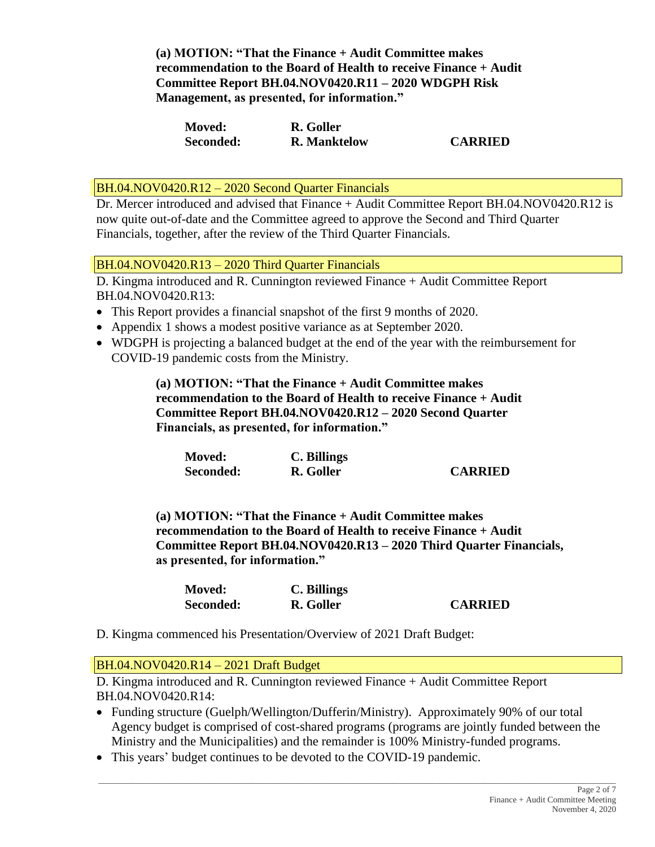**(a) MOTION: "That the Finance + Audit Committee makes recommendation to the Board of Health to receive Finance + Audit Committee Report BH.04.NOV0420.R11 – 2020 WDGPH Risk Management, as presented, for information."**

| <b>Moved:</b> | R. Goller           |                |
|---------------|---------------------|----------------|
| Seconded:     | <b>R.</b> Manktelow | <b>CARRIED</b> |

BH.04.NOV0420.R12 – 2020 Second Quarter Financials

Dr. Mercer introduced and advised that Finance + Audit Committee Report BH.04.NOV0420.R12 is now quite out-of-date and the Committee agreed to approve the Second and Third Quarter Financials, together, after the review of the Third Quarter Financials.

BH.04.NOV0420.R13 – 2020 Third Quarter Financials

D. Kingma introduced and R. Cunnington reviewed Finance + Audit Committee Report BH.04.NOV0420.R13:

- This Report provides a financial snapshot of the first 9 months of 2020.
- Appendix 1 shows a modest positive variance as at September 2020.
- WDGPH is projecting a balanced budget at the end of the year with the reimbursement for COVID-19 pandemic costs from the Ministry.

**(a) MOTION: "That the Finance + Audit Committee makes recommendation to the Board of Health to receive Finance + Audit Committee Report BH.04.NOV0420.R12 – 2020 Second Quarter Financials, as presented, for information."**

| <b>Moved:</b> | C. Billings |                |
|---------------|-------------|----------------|
| Seconded:     | R. Goller   | <b>CARRIED</b> |

**(a) MOTION: "That the Finance + Audit Committee makes recommendation to the Board of Health to receive Finance + Audit Committee Report BH.04.NOV0420.R13 – 2020 Third Quarter Financials, as presented, for information."**

| <b>Moved:</b> | C. Billings |                |
|---------------|-------------|----------------|
| Seconded:     | R. Goller   | <b>CARRIED</b> |

D. Kingma commenced his Presentation/Overview of 2021 Draft Budget:

BH.04.NOV0420.R14 – 2021 Draft Budget

D. Kingma introduced and R. Cunnington reviewed Finance + Audit Committee Report BH.04.NOV0420.R14:

• Funding structure (Guelph/Wellington/Dufferin/Ministry). Approximately 90% of our total Agency budget is comprised of cost-shared programs (programs are jointly funded between the Ministry and the Municipalities) and the remainder is 100% Ministry-funded programs.

\_\_\_\_\_\_\_\_\_\_\_\_\_\_\_\_\_\_\_\_\_\_\_\_\_\_\_\_\_\_\_\_\_\_\_\_\_\_\_\_\_\_\_\_\_\_\_\_\_\_\_\_\_\_\_\_\_\_\_\_\_\_\_\_\_\_\_\_\_\_\_\_\_\_\_\_\_\_\_\_\_\_\_\_\_\_\_\_\_\_\_\_\_\_\_\_\_\_\_\_\_\_\_\_\_\_\_\_\_\_\_\_\_\_\_\_\_\_\_\_\_

• This years' budget continues to be devoted to the COVID-19 pandemic.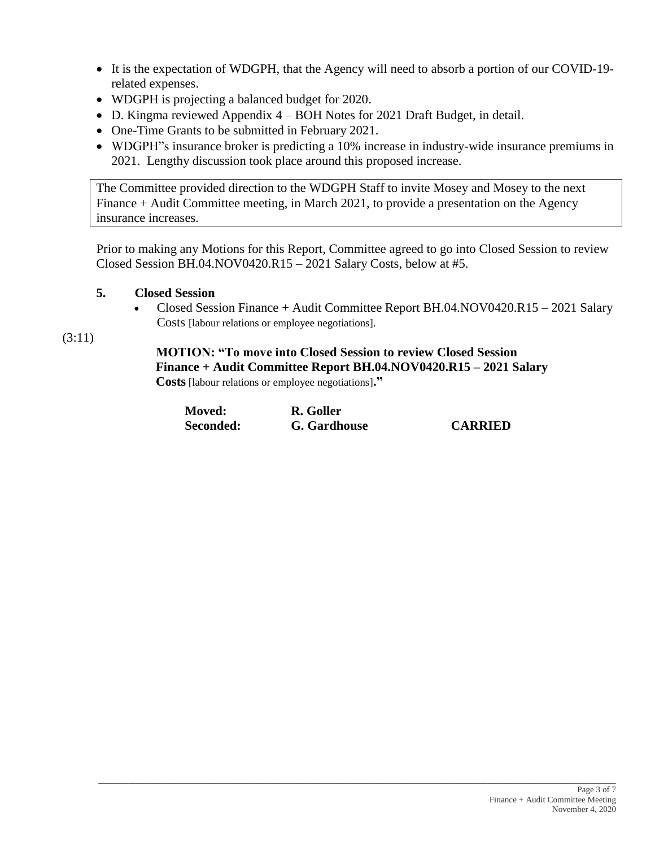- It is the expectation of WDGPH, that the Agency will need to absorb a portion of our COVID-19 related expenses.
- WDGPH is projecting a balanced budget for 2020.
- D. Kingma reviewed Appendix 4 BOH Notes for 2021 Draft Budget, in detail.
- One-Time Grants to be submitted in February 2021.
- WDGPH"s insurance broker is predicting a 10% increase in industry-wide insurance premiums in 2021. Lengthy discussion took place around this proposed increase.

The Committee provided direction to the WDGPH Staff to invite Mosey and Mosey to the next Finance + Audit Committee meeting, in March 2021, to provide a presentation on the Agency insurance increases.

Prior to making any Motions for this Report, Committee agreed to go into Closed Session to review Closed Session BH.04.NOV0420.R15 – 2021 Salary Costs, below at #5.

# **5. Closed Session**

• Closed Session Finance + Audit Committee Report BH.04.NOV0420.R15 – 2021 Salary Costs [labour relations or employee negotiations].

(3:11)

# **MOTION: "To move into Closed Session to review Closed Session Finance + Audit Committee Report BH.04.NOV0420.R15 – 2021 Salary Costs** [labour relations or employee negotiations]**."**

| <b>Moved:</b> | R. Goller    |                |
|---------------|--------------|----------------|
| Seconded:     | G. Gardhouse | <b>CARRIED</b> |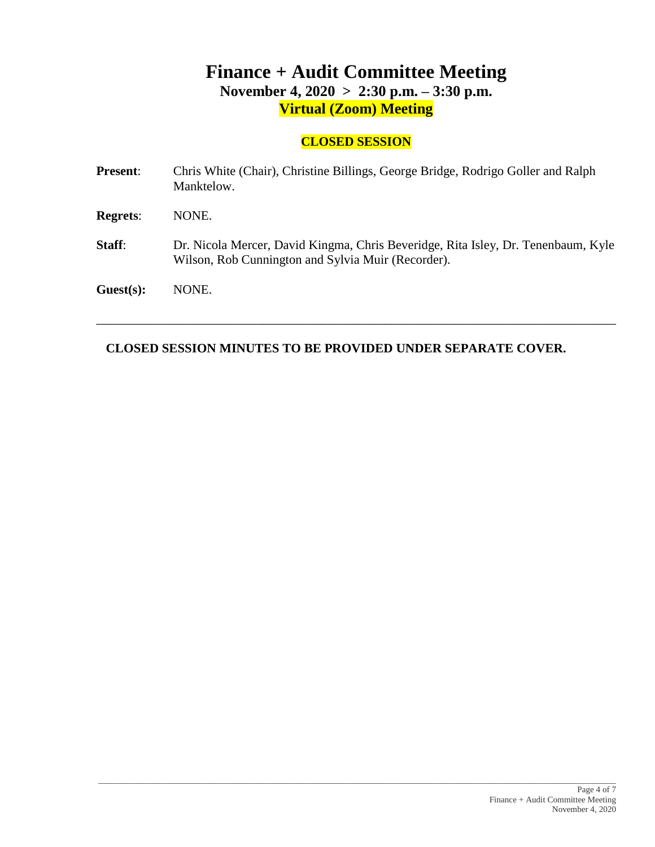# **Finance + Audit Committee Meeting November 4, 2020 > 2:30 p.m. – 3:30 p.m. Virtual (Zoom) Meeting**

# **CLOSED SESSION**

| <b>Present:</b> | Chris White (Chair), Christine Billings, George Bridge, Rodrigo Goller and Ralph<br>Manktelow.                                          |
|-----------------|-----------------------------------------------------------------------------------------------------------------------------------------|
| <b>Regrets:</b> | NONE.                                                                                                                                   |
| <b>Staff:</b>   | Dr. Nicola Mercer, David Kingma, Chris Beveridge, Rita Isley, Dr. Tenenbaum, Kyle<br>Wilson, Rob Cunnington and Sylvia Muir (Recorder). |
| Guest(s):       | NONE.                                                                                                                                   |

\_\_\_\_\_\_\_\_\_\_\_\_\_\_\_\_\_\_\_\_\_\_\_\_\_\_\_\_\_\_\_\_\_\_\_\_\_\_\_\_\_\_\_\_\_\_\_\_\_\_\_\_\_\_\_\_\_\_\_\_\_\_\_\_\_\_\_\_\_\_\_\_\_\_\_\_\_\_\_\_\_

# **CLOSED SESSION MINUTES TO BE PROVIDED UNDER SEPARATE COVER.**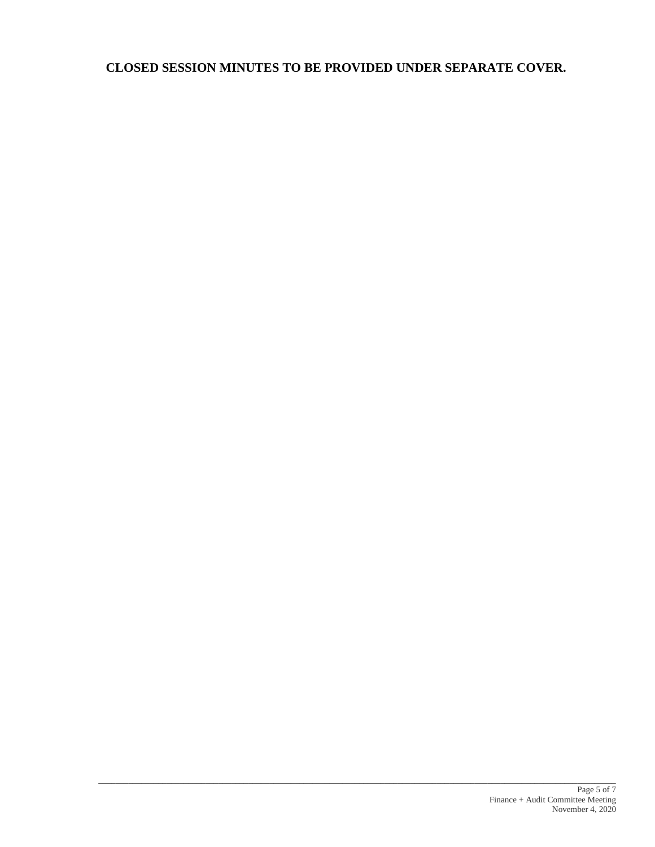# **CLOSED SESSION MINUTES TO BE PROVIDED UNDER SEPARATE COVER.**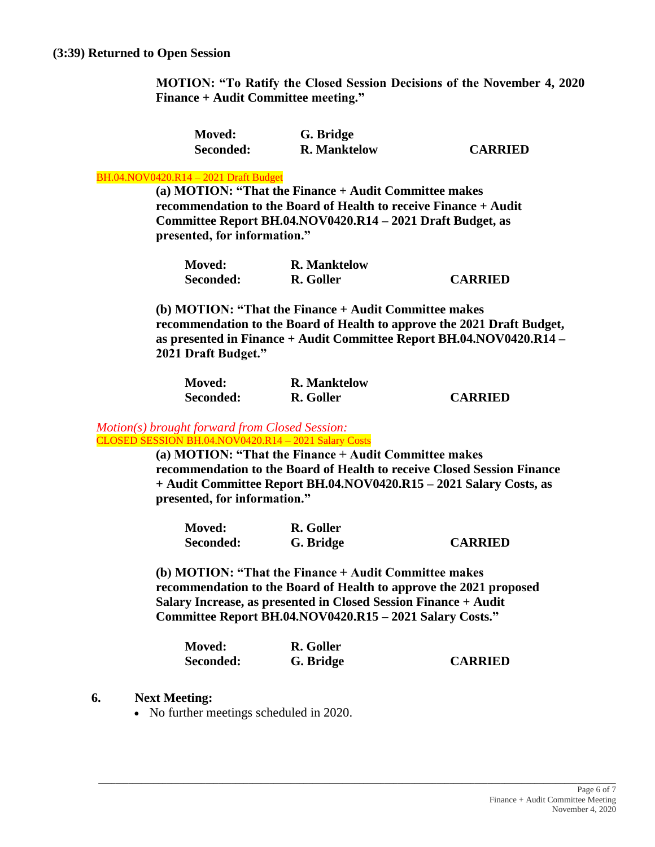**MOTION: "To Ratify the Closed Session Decisions of the November 4, 2020 Finance + Audit Committee meeting."**

| <b>Moved:</b> | G. Bridge           |                |
|---------------|---------------------|----------------|
| Seconded:     | <b>R.</b> Manktelow | <b>CARRIED</b> |

#### BH.04.NOV0420.R14 – 2021 Draft Budget

**(a) MOTION: "That the Finance + Audit Committee makes recommendation to the Board of Health to receive Finance + Audit Committee Report BH.04.NOV0420.R14 – 2021 Draft Budget, as presented, for information."**

| <b>Moved:</b> | <b>R.</b> Manktelow |                |
|---------------|---------------------|----------------|
| Seconded:     | R. Goller           | <b>CARRIED</b> |

**(b) MOTION: "That the Finance + Audit Committee makes recommendation to the Board of Health to approve the 2021 Draft Budget, as presented in Finance + Audit Committee Report BH.04.NOV0420.R14 – 2021 Draft Budget."**

| <b>Moved:</b> | <b>R.</b> Manktelow |                |
|---------------|---------------------|----------------|
| Seconded:     | R. Goller           | <b>CARRIED</b> |

#### *Motion(s) brought forward from Closed Session:* CLOSED SESSION BH.04.NOV0420.R14 – 2021 Salary Costs

**(a) MOTION: "That the Finance + Audit Committee makes recommendation to the Board of Health to receive Closed Session Finance + Audit Committee Report BH.04.NOV0420.R15 – 2021 Salary Costs, as presented, for information."**

| <b>Moved:</b> | R. Goller |                |
|---------------|-----------|----------------|
| Seconded:     | G. Bridge | <b>CARRIED</b> |

**(b) MOTION: "That the Finance + Audit Committee makes recommendation to the Board of Health to approve the 2021 proposed Salary Increase, as presented in Closed Session Finance + Audit Committee Report BH.04.NOV0420.R15 – 2021 Salary Costs."**

| <b>Moved:</b> | R. Goller |                |
|---------------|-----------|----------------|
| Seconded:     | G. Bridge | <b>CARRIED</b> |

- **6. Next Meeting:**
	- No further meetings scheduled in 2020.